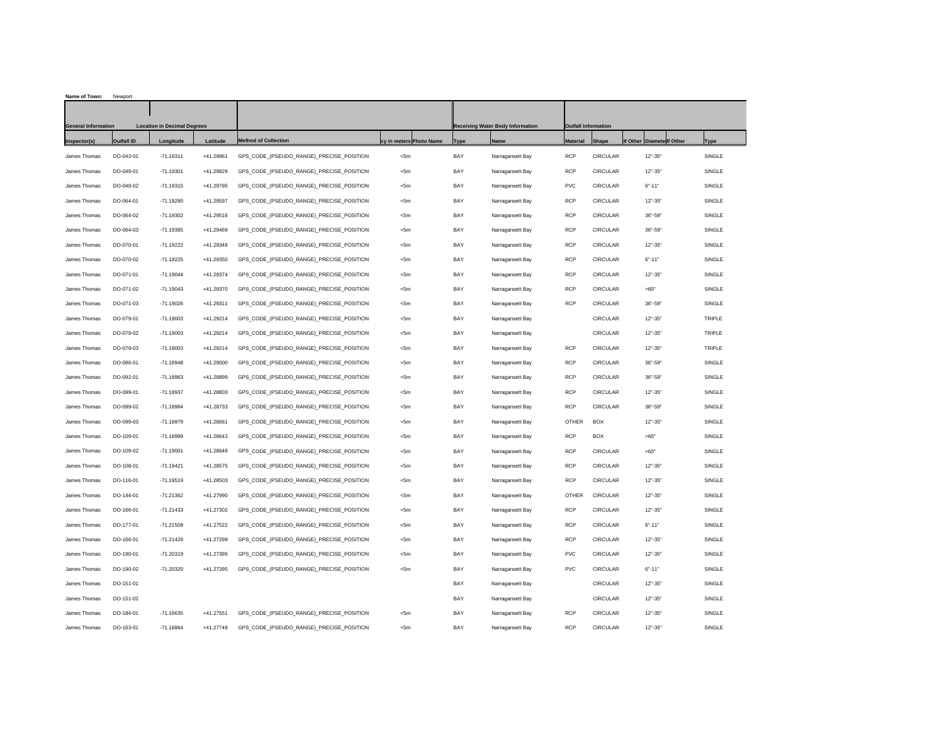| Name of Town:              | Newport                            |             |           |                                          |                         |             |                                         |                 |                            |                           |        |
|----------------------------|------------------------------------|-------------|-----------|------------------------------------------|-------------------------|-------------|-----------------------------------------|-----------------|----------------------------|---------------------------|--------|
|                            |                                    |             |           |                                          |                         |             |                                         |                 |                            |                           |        |
| <b>General Information</b> | <b>Location in Decimal Degrees</b> |             |           |                                          |                         |             | <b>Receiving Water Body Information</b> |                 | <b>Outfall Information</b> |                           |        |
| Inspector(s)               | <b>Outfall ID</b>                  | Longitude   | Latitude  | <b>Method of Collection</b>              | cy in meters Photo Name | <b>Type</b> | <b>Name</b>                             | <b>Material</b> | Shape                      | If Other Diamete If Other | Type   |
| James Thomas               | DO-043-01                          | $-71.19311$ | +41.29961 | GPS CODE (PSEUDO RANGE) PRECISE POSITION | $<$ 5m                  | BAY         | Narragansett Bay                        | <b>RCP</b>      | <b>CIRCULAR</b>            | $12" - 35"$               | SINGLE |
| James Thomas               | DO-049-01                          | $-71.19301$ | +41.29829 | GPS_CODE (PSEUDO_RANGE) PRECISE POSITION | $<$ 5m                  | BAY         | Narragansett Bay                        | <b>RCP</b>      | <b>CIRCULAR</b>            | $12" - 35"$               | SINGLE |
| James Thomas               | DO-049-02                          | $-71.19315$ | +41.29795 | GPS_CODE_(PSEUDO_RANGE)_PRECISE_POSITION | $<$ 5m                  | BAY         | Narragansett Bay                        | PVC             | CIRCULAR                   | $6 - 11$                  | SINGLE |
| James Thomas               | DO-064-01                          | $-71.19290$ | +41.29597 | GPS CODE (PSEUDO RANGE) PRECISE POSITION | $<$ 5m                  | BAY         | Narragansett Bay                        | <b>RCP</b>      | <b>CIRCULAR</b>            | $12" - 35"$               | SINGLE |
| James Thomas               | DO-064-02                          | $-71.19302$ | +41.29516 | GPS_CODE (PSEUDO_RANGE) PRECISE POSITION | $<$ 5m                  | <b>BAY</b>  | Narragansett Bay                        | <b>RCP</b>      | <b>CIRCULAR</b>            | $36 - 59'$                | SINGLE |
| James Thomas               | DO-064-03                          | $-71.19385$ | +41.29469 | GPS_CODE_(PSEUDO_RANGE)_PRECISE_POSITION | $<$ 5m                  | BAY         | Narragansett Bay                        | <b>RCF</b>      | <b>CIRCULAR</b>            | $36 - 59$                 | SINGLE |
| James Thomas               | DO-070-01                          | $-71.19222$ | +41.29349 | GPS_CODE_(PSEUDO_RANGE)_PRECISE_POSITION | <5m                     | BAY         | Narragansett Bay                        | <b>RCF</b>      | <b>CIRCULAR</b>            | $12" - 35'$               | SINGLE |
| James Thomas               | DO-070-02                          | $-71.19225$ | +41.29350 | GPS CODE (PSEUDO RANGE) PRECISE POSITION | $<$ 5m                  | BAY         | Narragansett Bay                        | <b>RCP</b>      | <b>CIRCULAR</b>            | $6 - 11$                  | SINGLE |
| James Thomas               | DO-071-01                          | $-71.19044$ | +41.29374 | GPS_CODE_(PSEUDO_RANGE)_PRECISE_POSITION | $<$ 5m                  | BAY         | Narragansett Bay                        | <b>RCP</b>      | CIRCULAR                   | $12" - 35'$               | SINGLE |
| James Thomas               | DO-071-02                          | $-71.19043$ | +41.29370 | GPS CODE (PSEUDO RANGE) PRECISE POSITION | $<$ 5m                  | BAY         | Narragansett Bay                        | <b>RCP</b>      | <b>CIRCULAR</b>            | >60"                      | SINGLE |
| James Thomas               | DO-071-03                          | $-71.19026$ | +41.29311 | GPS_CODE (PSEUDO_RANGE) PRECISE POSITION | $<$ 5m                  | BAY         | Narragansett Bay                        | <b>RCP</b>      | <b>CIRCULAR</b>            | $36 - 59'$                | SINGLE |
| James Thomas               | DO-079-01                          | $-71.19003$ | +41.29214 | GPS_CODE_(PSEUDO_RANGE)_PRECISE_POSITION | $<$ 5m                  | BAY         | Narragansett Bay                        |                 | <b>CIRCULAR</b>            | $12" - 35'$               | TRIPLE |
| James Thomas               | DO-079-02                          | $-71.19003$ | +41.29214 | GPS_CODE_(PSEUDO_RANGE)_PRECISE_POSITION | $<$ 5m                  | BAY         | Narragansett Bay                        |                 | <b>CIRCULAR</b>            | $12" - 35'$               | TRIPLE |
| James Thomas               | DO-079-03                          | $-71.19003$ | +41.29214 | GPS CODE (PSEUDO RANGE) PRECISE POSITION | $<$ 5m                  | BAY         | Narragansett Bay                        | <b>RCP</b>      | <b>CIRCULAR</b>            | $12" - 35'$               | TRIPLE |
| James Thomas               | DO-086-01                          | $-71.18948$ | +41.29000 | GPS_CODE_(PSEUDO_RANGE)_PRECISE_POSITION | $<$ 5m                  | BAY         | Narragansett Bay                        | <b>RCP</b>      | CIRCULAR                   | $36 - 59$                 | SINGLE |
| James Thomas               | DO-092-01                          | $-71.18963$ | +41.28899 | GPS CODE (PSEUDO RANGE) PRECISE POSITION | $<$ 5m                  | BAY         | Narragansett Bay                        | <b>RCP</b>      | <b>CIRCULAR</b>            | $36 - 59'$                | SINGLE |
| James Thomas               | DO-099-01                          | $-71.18937$ | +41.28803 | GPS_CODE (PSEUDO_RANGE) PRECISE POSITION | $<$ 5m                  | <b>BAY</b>  | Narragansett Bay                        | <b>RCP</b>      | <b>CIRCULAR</b>            | $12" - 35'$               | SINGLE |
| James Thomas               | DO-099-02                          | $-71.18984$ | +41.28733 | GPS_CODE_(PSEUDO_RANGE)_PRECISE_POSITION | $<$ 5m                  | BAY         | Narragansett Bay                        | <b>RCF</b>      | <b>CIRCULAR</b>            | $36 - 59$                 | SINGLE |
| James Thomas               | DO-099-03                          | $-71.18979$ | +41.28661 | GPS_CODE_(PSEUDO_RANGE)_PRECISE_POSITION | <5m                     | BAY         | Narragansett Bay                        | OTHER           | <b>BOX</b>                 | $12" - 35'$               | SINGLE |
| James Thomas               | DO-109-01                          | $-71.18999$ | +41.28643 | GPS_CODE_(PSEUDO_RANGE)_PRECISE_POSITION | $<$ 5m                  | BAY         | Narragansett Bay                        | <b>RCP</b>      | <b>BOX</b>                 | >60"                      | SINGLE |
| James Thomas               | DO-109-02                          | $-71.19001$ | +41.28648 | GPS_CODE_(PSEUDO_RANGE)_PRECISE_POSITION | $<$ 5m                  | BAY         | Narragansett Bay                        | <b>RCP</b>      | CIRCULAR                   | >60"                      | SINGLE |
| James Thomas               | DO-108-01                          | $-71.19421$ | +41.28575 | GPS CODE (PSEUDO RANGE) PRECISE POSITION | $<$ 5m                  | BAY         | Narragansett Bay                        | <b>RCP</b>      | <b>CIRCULAR</b>            | $12" - 35'$               | SINGLE |
| James Thomas               | DO-116-01                          | $-71.19519$ | +41.28503 | GPS_CODE (PSEUDO_RANGE) PRECISE POSITION | $<$ 5m                  | <b>BAY</b>  | Narragansett Bay                        | <b>RCP</b>      | <b>CIRCULAR</b>            | $12" - 35'$               | SINGLE |
| James Thomas               | DO-144-01                          | $-71.21362$ | +41.27990 | GPS_CODE_(PSEUDO_RANGE)_PRECISE_POSITION | $<$ 5m                  | <b>BAY</b>  | Narragansett Bay                        | OTHER           | CIRCULAR                   | $12" - 35'$               | SINGLE |
| James Thomas               | DO-166-01                          | $-71.21433$ | +41.27302 | GPS_CODE_(PSEUDO_RANGE)_PRECISE_POSITION | <5m                     | BAY         | Narragansett Bay                        | <b>RCP</b>      | CIRCULAR                   | $12" - 35"$               | SINGLE |
| James Thomas               | DO-177-01                          | $-71.21509$ | +41.27522 | GPS_CODE_(PSEUDO_RANGE)_PRECISE_POSITION | <5m                     | BAY         | Narragansett Bay                        | <b>RCP</b>      | <b>CIRCULAR</b>            | $6 - 11$                  | SINGLE |
| James Thomas               | DO-166-01                          | $-71.21428$ | +41.27299 | GPS CODE (PSEUDO RANGE) PRECISE POSITION | $<$ 5m                  | BAY         | Narragansett Bay                        | <b>RCP</b>      | <b>CIRCULAR</b>            | $12" - 35"$               | SINGLE |
| James Thomas               | DO-190-01                          | $-71.20319$ | +41.27395 | GPS_CODE_(PSEUDO_RANGE)_PRECISE_POSITION | <5m                     | BAY         | Narragansett Bay                        | PVC             | CIRCULAR                   | $12" - 35"$               | SINGLE |
| James Thomas               | DO-190-02                          | $-71.20320$ | +41.27395 | GPS_CODE (PSEUDO_RANGE) PRECISE POSITION | $<$ 5m                  | BAY         | Narragansett Bay                        | <b>PVC</b>      | <b>CIRCULAR</b>            | $6 - 11$                  | SINGLE |
| James Thomas               | DO-151-01                          |             |           |                                          |                         | BAY         | Narragansett Bay                        |                 | <b>CIRCULAR</b>            | $12" - 35"$               | SINGLE |
| James Thomas               | DO-151-02                          |             |           |                                          |                         | <b>BAY</b>  | Narragansett Bay                        |                 | <b>CIRCULAR</b>            | $12" - 35'$               | SINGLE |
| James Thomas               | DO-184-01                          | $-71.18635$ | +41.27551 | GPS CODE (PSEUDO RANGE) PRECISE POSITION | $<$ 5m                  | BAY         | Narragansett Bay                        | <b>RCF</b>      | <b>CIRCULAR</b>            | $12" - 35'$               | SINGLE |
| James Thomas               | DO-163-01                          | $-71.18864$ | +41.27749 | GPS CODE (PSEUDO RANGE) PRECISE POSITION | $<$ 5m                  | <b>BAY</b>  | Narragansett Bay                        | <b>RCP</b>      | <b>CIRCULAR</b>            | $12" - 35'$               | SINGLE |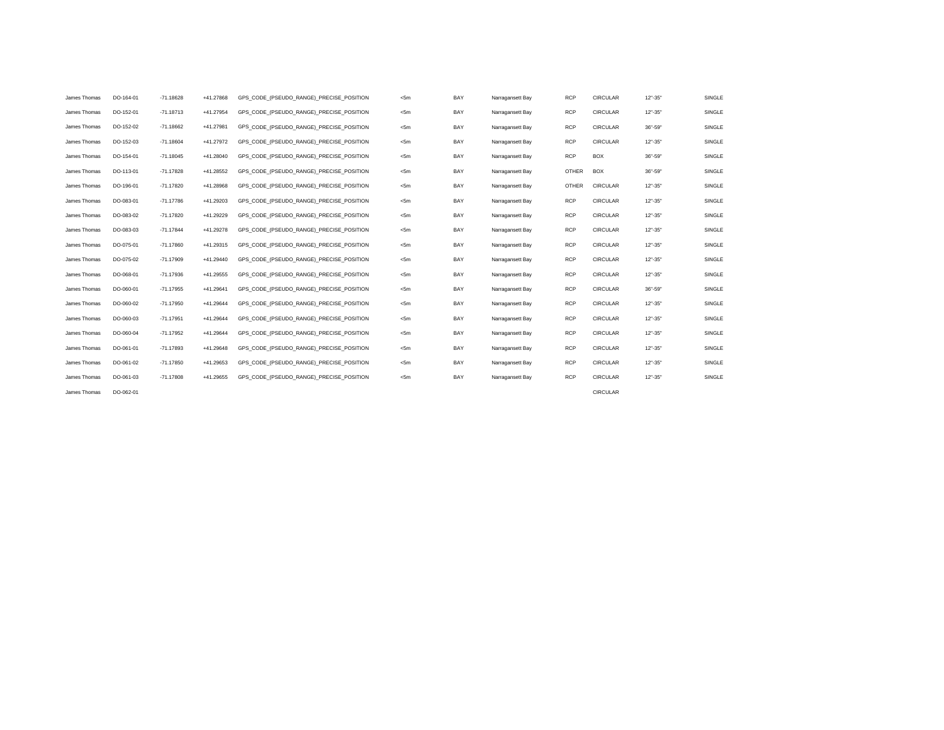| James Thomas | DO-164-01 | $-71.18628$ | +41.27868 | GPS CODE (PSEUDO RANGE) PRECISE POSITION | <5m  | BAY | Narragansett Bay | <b>RCP</b>   | <b>CIRCULAR</b> | $12" - 35"$ | SINGLE |
|--------------|-----------|-------------|-----------|------------------------------------------|------|-----|------------------|--------------|-----------------|-------------|--------|
| James Thomas | DO-152-01 | $-71.18713$ | +41.27954 | GPS CODE (PSEUDO RANGE) PRECISE POSITION | <5m  | BAY | Narragansett Bay | <b>RCP</b>   | <b>CIRCULAR</b> | $12" - 35"$ | SINGLE |
| James Thomas | DO-152-02 | $-71.18662$ | +41.27981 | GPS CODE (PSEUDO RANGE) PRECISE POSITION | <5m  | BAY | Narragansett Bay | <b>RCP</b>   | <b>CIRCULAR</b> | 36"-59"     | SINGLE |
| James Thomas | DO-152-03 | $-71.18604$ | +41.27972 | GPS CODE (PSEUDO RANGE) PRECISE POSITION | <5m  | BAY | Narragansett Bay | <b>RCP</b>   | <b>CIRCULAR</b> | $12" - 35"$ | SINGLE |
| James Thomas | DO-154-01 | $-71.18045$ | +41.28040 | GPS CODE (PSEUDO RANGE) PRECISE POSITION | <5m  | BAY | Narragansett Bay | <b>RCP</b>   | <b>BOX</b>      | 36"-59"     | SINGLE |
| James Thomas | DO-113-01 | $-71.17828$ | +41.28552 | GPS CODE (PSEUDO RANGE) PRECISE POSITION | < 5m | BAY | Narragansett Bay | <b>OTHER</b> | BOX             | 36"-59"     | SINGLE |
| James Thomas | DO-196-01 | $-71.17820$ | +41.28968 | GPS CODE (PSEUDO RANGE) PRECISE POSITION | < 5m | BAY | Narragansett Bay | <b>OTHER</b> | <b>CIRCULAR</b> | $12" - 35"$ | SINGLE |
| James Thomas | DO-083-01 | $-71.17786$ | +41.29203 | GPS CODE (PSEUDO RANGE) PRECISE POSITION | <5m  | BAY | Narragansett Bay | <b>RCP</b>   | <b>CIRCULAR</b> | $12" - 35"$ | SINGLE |
| James Thomas | DO-083-02 | $-71.17820$ | +41.29229 | GPS_CODE_(PSEUDO_RANGE)_PRECISE_POSITION | <5m  | BAY | Narragansett Bay | <b>RCP</b>   | <b>CIRCULAR</b> | $12" - 35"$ | SINGLE |
| James Thomas | DO-083-03 | $-71.17844$ | +41.29278 | GPS CODE (PSEUDO RANGE) PRECISE POSITION | <5m  | BAY | Narragansett Bay | <b>RCP</b>   | <b>CIRCULAR</b> | $12" - 35"$ | SINGLE |
| James Thomas | DO-075-01 | $-71.17860$ | +41.29315 | GPS CODE (PSEUDO RANGE) PRECISE POSITION | <5m  | BAY | Narragansett Bay | <b>RCP</b>   | <b>CIRCULAR</b> | $12" - 35"$ | SINGLE |
| James Thomas | DO-075-02 | $-71.17909$ | +41.29440 | GPS CODE (PSEUDO RANGE) PRECISE POSITION | <5m  | BAY | Narragansett Bay | <b>RCP</b>   | <b>CIRCULAR</b> | $12" - 35"$ | SINGLE |
| James Thomas | DO-068-01 | $-71.17936$ | +41.29555 | GPS CODE (PSEUDO RANGE) PRECISE POSITION | <5m  | BAY | Narragansett Bay | <b>RCP</b>   | <b>CIRCULAR</b> | $12" - 35"$ | SINGLE |
| James Thomas | DO-060-01 | $-71.17955$ | +41.29641 | GPS CODE (PSEUDO RANGE) PRECISE POSITION | <5m  | BAY | Narragansett Bay | <b>RCP</b>   | <b>CIRCULAR</b> | 36"-59"     | SINGLE |
| James Thomas | DO-060-02 | $-71.17950$ | +41.29644 | GPS CODE (PSEUDO RANGE) PRECISE POSITION | <5m  | BAY | Narragansett Bay | <b>RCP</b>   | <b>CIRCULAR</b> | $12" - 35'$ | SINGLE |
| James Thomas | DO-060-03 | $-71.17951$ | +41.29644 | GPS CODE (PSEUDO RANGE) PRECISE POSITION | <5m  | BAY | Narragansett Bay | <b>RCP</b>   | <b>CIRCULAR</b> | $12" - 35"$ | SINGLE |
| James Thomas | DO-060-04 | $-71.17952$ | +41.29644 | GPS CODE (PSEUDO RANGE) PRECISE POSITION | <5m  | BAY | Narragansett Bay | <b>RCP</b>   | <b>CIRCULAR</b> | $12" - 35"$ | SINGLE |
| James Thomas | DO-061-01 | $-71.17893$ | +41.29648 | GPS CODE (PSEUDO RANGE) PRECISE POSITION | <5m  | BAY | Narragansett Bay | <b>RCP</b>   | <b>CIRCULAR</b> | $12" - 35"$ | SINGLE |
| James Thomas | DO-061-02 | $-71.17850$ | +41.29653 | GPS CODE (PSEUDO RANGE) PRECISE POSITION | <5m  | BAY | Narragansett Bay | <b>RCP</b>   | <b>CIRCULAR</b> | $12" - 35"$ | SINGLE |
| James Thomas | DO-061-03 | $-71.17808$ | +41.29655 | GPS_CODE_(PSEUDO_RANGE)_PRECISE_POSITION | <5m  | BAY | Narragansett Bay | <b>RCP</b>   | <b>CIRCULAR</b> | $12" - 35"$ | SINGLE |
| James Thomas | DO-062-01 |             |           |                                          |      |     |                  |              | <b>CIRCULAR</b> |             |        |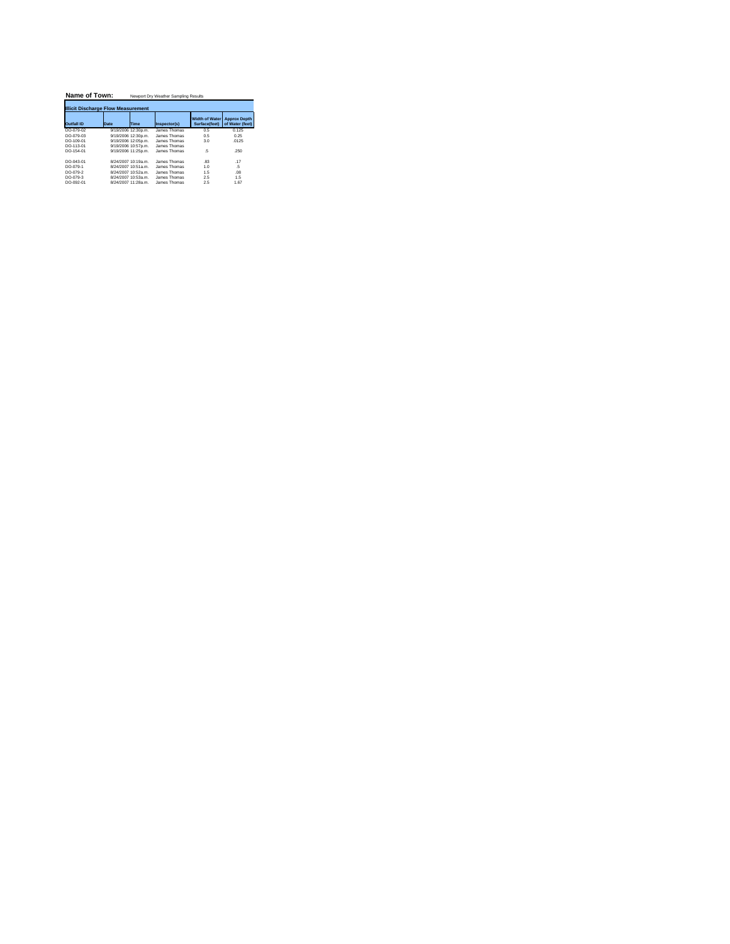| Name of Town:                             |      | Newport Dry Weather Sampling Results |              |                                        |                                        |  |  |  |  |  |  |
|-------------------------------------------|------|--------------------------------------|--------------|----------------------------------------|----------------------------------------|--|--|--|--|--|--|
| <b>Illicit Discharge Flow Measurement</b> |      |                                      |              |                                        |                                        |  |  |  |  |  |  |
| Outfall ID                                | Date | Time                                 | Inspector(s) | <b>Width of Water</b><br>Surface(feet) | <b>Approx Depth</b><br>of Water (feet) |  |  |  |  |  |  |
| DO-079-02                                 |      | 9/19/2006 12:30p.m.                  | James Thomas | 0.5                                    | 0.125                                  |  |  |  |  |  |  |
| DO-079-03                                 |      | 9/19/2006 12:30p.m.                  | James Thomas | 0.5                                    | 0.25                                   |  |  |  |  |  |  |
| DO-109-01                                 |      | 9/19/2006 12:05p.m.                  | James Thomas | 30                                     | 0125                                   |  |  |  |  |  |  |
| DO-113-01                                 |      | 9/19/2006 10:57p.m.                  | James Thomas |                                        |                                        |  |  |  |  |  |  |
| DO-154-01                                 |      | 9/19/2006 11:25p.m.                  | James Thomas | 5                                      | 250                                    |  |  |  |  |  |  |
| DO-043-01                                 |      | 8/24/2007 10:19a m                   | James Thomas | 83                                     | 17                                     |  |  |  |  |  |  |
| $DO-079-1$                                |      | 8/24/2007 10:51a m                   | James Thomas | 1 <sub>0</sub>                         | -5                                     |  |  |  |  |  |  |
| DO-079-2                                  |      | 8/24/2007 10:52a m                   | James Thomas | 15                                     | 08                                     |  |  |  |  |  |  |
| DO-079-3                                  |      | 8/24/2007 10:53a.m.                  | James Thomas | 25                                     | 15                                     |  |  |  |  |  |  |
| DO-092-01                                 |      | 8/24/2007 11:28a m                   | James Thomas | 2.5                                    | 1.67                                   |  |  |  |  |  |  |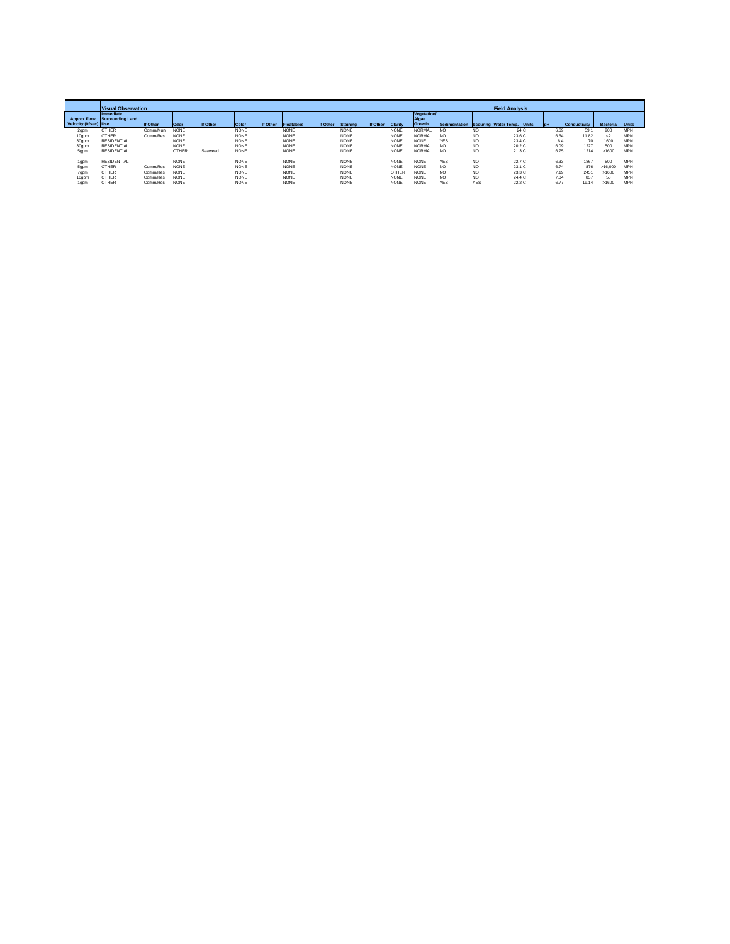|                       | <b>Visual Observation</b>     |          |              |          |             |          |             |          |             |          |                |                      | <b>Field Analysis</b> |                |                            |      |              |                 |            |
|-----------------------|-------------------------------|----------|--------------|----------|-------------|----------|-------------|----------|-------------|----------|----------------|----------------------|-----------------------|----------------|----------------------------|------|--------------|-----------------|------------|
| <b>Approx Flow</b>    | Immediate<br>Surrounding Land |          |              |          |             |          |             |          |             |          |                | Vegetation/<br>Algae |                       |                |                            |      |              |                 |            |
| Velocity (ft/sec) Use |                               | If Other | <b>Odor</b>  | If Other | Color       | If Other | Floatables  | If Other | Staining    | If Other | <b>Clarity</b> | Growth               | Sedimentation         |                | Scouring Water Temp. Units | loH  | Conductivity | <b>Bacteria</b> | Units      |
| 2gpm                  | OTHER                         | Comm/Mun | <b>NONE</b>  |          | <b>NONE</b> |          | <b>NONE</b> |          | <b>NONE</b> |          | <b>NONE</b>    | NORMAL               | N <sub>C</sub>        | NO.            | 24 C                       | 6.69 | 59.1         | 900             | <b>MPN</b> |
| 10gpm                 | OTHER                         | Comm/Res | <b>NONE</b>  |          | <b>NONE</b> |          | <b>NONE</b> |          | <b>NONE</b> |          | <b>NONE</b>    | NORMAL               | N <sub>O</sub>        | N <sub>O</sub> | 23.6 C                     | 6.64 | 11.82        | $^{2}$          | <b>MPN</b> |
| 30gpm                 | <b>RESIDENTIAL</b>            |          | <b>NONE</b>  |          | <b>NONE</b> |          | <b>NONE</b> |          | <b>NONE</b> |          | <b>NONE</b>    | <b>NONE</b>          | <b>YES</b>            | N <sub>O</sub> | 23.4 C                     | 6.4  | 70           | 1600            | <b>MPN</b> |
| 30gpm                 | <b>RESIDENTIAL</b>            |          | <b>NONE</b>  |          | <b>NONE</b> |          | <b>NONE</b> |          | <b>NONE</b> |          | NONE           | NORMAL               | NO <sub>1</sub>       | N <sub>O</sub> | 20.2 C                     | 6.09 | 1227         | 500             | <b>MPN</b> |
| 5gpm                  | <b>RESIDENTIAL</b>            |          | <b>OTHER</b> | Seaweed  | <b>NONE</b> |          | <b>NONE</b> |          | NONE        |          | <b>NONE</b>    | <b>NORMAL</b>        | N <sub>C</sub>        | NO             | 21.3 C                     | 6.75 | 1214         | >1600           | <b>MPN</b> |
| 1gpm                  | <b>RESIDENTIAL</b>            |          | <b>NONE</b>  |          | <b>NONE</b> |          | <b>NONE</b> |          | <b>NONE</b> |          | <b>NONE</b>    | <b>NONE</b>          | <b>YES</b>            | N <sub>O</sub> | 22.7 C                     | 6.33 | 1867         | 500             | <b>MPN</b> |
| 5gpm                  | OTHER                         | Comm/Res | <b>NONE</b>  |          | <b>NONE</b> |          | <b>NONE</b> |          | <b>NONE</b> |          | <b>NONE</b>    | <b>NONE</b>          | N <sub>O</sub>        | NO             | 23.1 C                     | 6.74 | 876          | >16.000         | <b>MPN</b> |
| 7gpm                  | OTHER                         | Comm/Res | <b>NONE</b>  |          | <b>NONE</b> |          | <b>NONE</b> |          | <b>NONE</b> |          | OTHER          | <b>NONE</b>          | N <sub>C</sub>        | NO             | 23.3 C                     | 7.19 | 2451         | >1600           | <b>MPN</b> |
| 10gpm                 | OTHER                         | Comm/Res | <b>NONE</b>  |          | <b>NONE</b> |          | <b>NONE</b> |          | <b>NONE</b> |          | NONE           | <b>NONE</b>          | N <sub>O</sub>        | NO             | 24.4 C                     | 7.04 | 837          |                 | <b>MPN</b> |
| 1gpm                  | OTHER                         | Comm/Res | <b>NONE</b>  |          | <b>NONE</b> |          | <b>NONE</b> |          | <b>NONE</b> |          | <b>NONE</b>    | <b>NONE</b>          | <b>YES</b>            | <b>YES</b>     | 22.2 C                     | 6.77 | 19.14        | >1600           | <b>MPN</b> |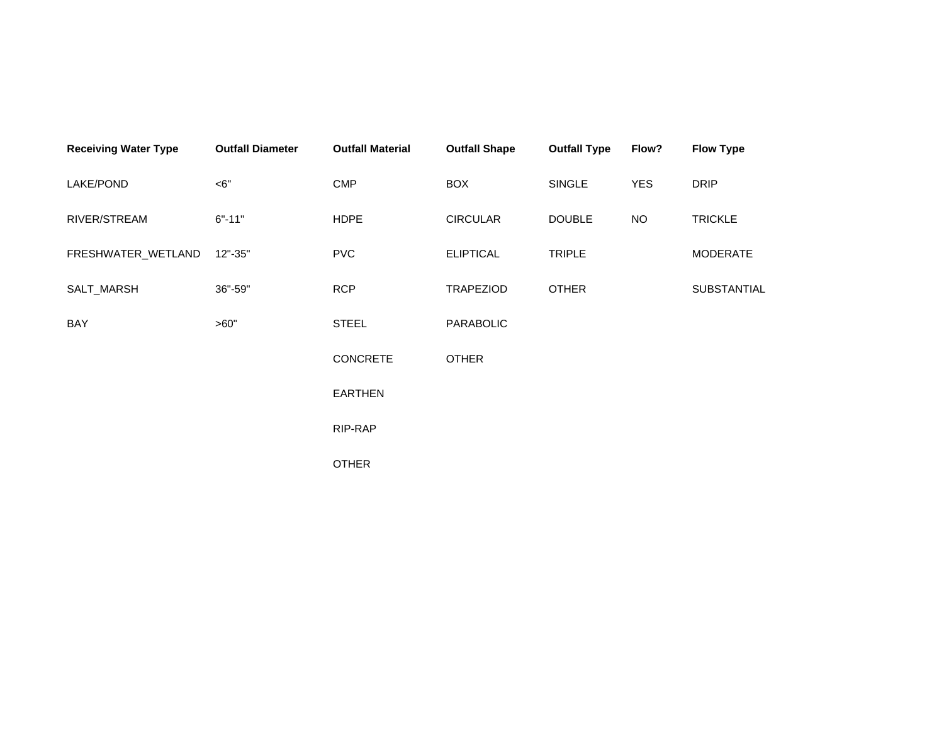| <b>Receiving Water Type</b> | <b>Outfall Diameter</b> | <b>Outfall Material</b> | <b>Outfall Shape</b> | <b>Outfall Type</b> | Flow?      | <b>Flow Type</b> |
|-----------------------------|-------------------------|-------------------------|----------------------|---------------------|------------|------------------|
| LAKE/POND                   | $<$ 6"                  | <b>CMP</b>              | <b>BOX</b>           | SINGLE              | <b>YES</b> | <b>DRIP</b>      |
| RIVER/STREAM                | $6" - 11"$              | <b>HDPE</b>             | <b>CIRCULAR</b>      | <b>DOUBLE</b>       | <b>NO</b>  | <b>TRICKLE</b>   |
| FRESHWATER_WETLAND          | $12" - 35"$             | <b>PVC</b>              | <b>ELIPTICAL</b>     | <b>TRIPLE</b>       |            | <b>MODERATE</b>  |
| SALT_MARSH                  | 36"-59"                 | <b>RCP</b>              | <b>TRAPEZIOD</b>     | <b>OTHER</b>        |            | SUBSTANTIAL      |
| BAY                         | >60"                    | <b>STEEL</b>            | PARABOLIC            |                     |            |                  |
|                             |                         | <b>CONCRETE</b>         | <b>OTHER</b>         |                     |            |                  |
|                             |                         | <b>EARTHEN</b>          |                      |                     |            |                  |
|                             |                         | RIP-RAP                 |                      |                     |            |                  |
|                             |                         | <b>OTHER</b>            |                      |                     |            |                  |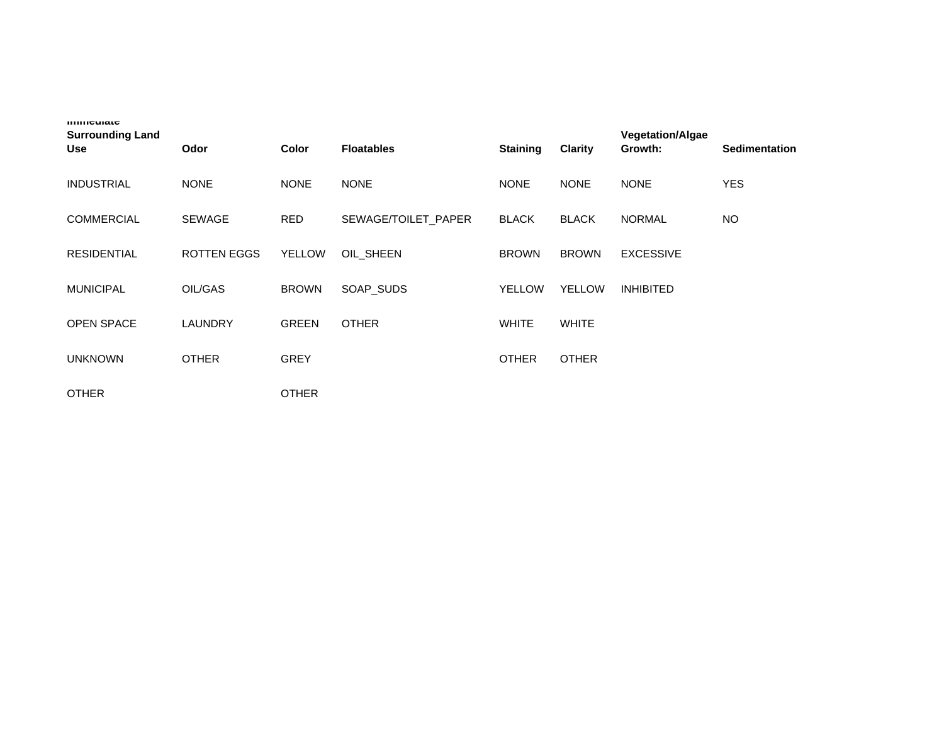| 111111<br><b>Surrounding Land</b><br><b>Use</b> | Odor               | <b>Color</b>  | <b>Floatables</b>   | <b>Staining</b> | <b>Clarity</b> | <b>Vegetation/Algae</b><br>Growth: | <b>Sedimentation</b> |
|-------------------------------------------------|--------------------|---------------|---------------------|-----------------|----------------|------------------------------------|----------------------|
| <b>INDUSTRIAL</b>                               | <b>NONE</b>        | <b>NONE</b>   | <b>NONE</b>         | <b>NONE</b>     | <b>NONE</b>    | <b>NONE</b>                        | <b>YES</b>           |
| <b>COMMERCIAL</b>                               | <b>SEWAGE</b>      | <b>RED</b>    | SEWAGE/TOILET PAPER | <b>BLACK</b>    | <b>BLACK</b>   | <b>NORMAL</b>                      | <b>NO</b>            |
| <b>RESIDENTIAL</b>                              | <b>ROTTEN EGGS</b> | <b>YELLOW</b> | OIL SHEEN           | <b>BROWN</b>    | <b>BROWN</b>   | <b>EXCESSIVE</b>                   |                      |
| <b>MUNICIPAL</b>                                | OIL/GAS            | <b>BROWN</b>  | SOAP_SUDS           | <b>YELLOW</b>   | <b>YELLOW</b>  | <b>INHIBITED</b>                   |                      |
| <b>OPEN SPACE</b>                               | LAUNDRY            | <b>GREEN</b>  | <b>OTHER</b>        | <b>WHITE</b>    | <b>WHITE</b>   |                                    |                      |
| <b>UNKNOWN</b>                                  | <b>OTHER</b>       | <b>GREY</b>   |                     | <b>OTHER</b>    | <b>OTHER</b>   |                                    |                      |
| <b>OTHER</b>                                    |                    | <b>OTHER</b>  |                     |                 |                |                                    |                      |